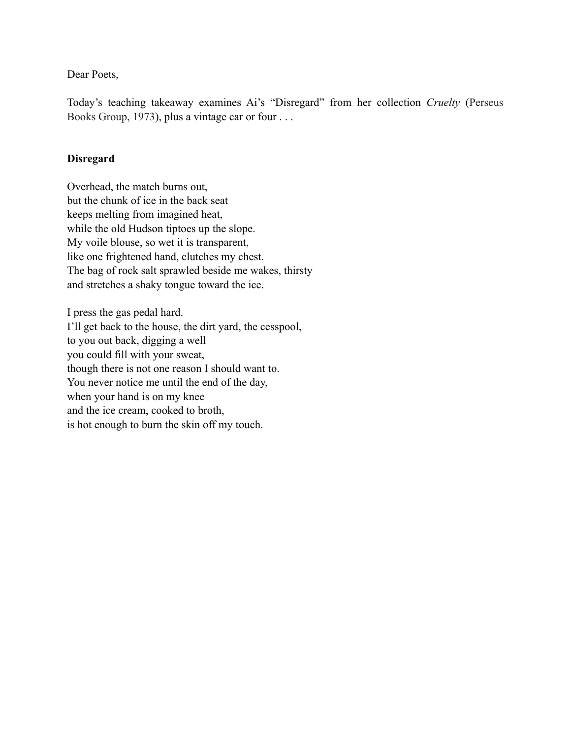Dear Poets,

Today's teaching takeaway examines Ai's "Disregard" from her collection *Cruelty* (Perseus Books Group, 1973), plus a vintage car or four . . .

## **Disregard**

Overhead, the match burns out, but the chunk of ice in the back seat keeps melting from imagined heat, while the old Hudson tiptoes up the slope. My voile blouse, so wet it is transparent, like one frightened hand, clutches my chest. The bag of rock salt sprawled beside me wakes, thirsty and stretches a shaky tongue toward the ice.

I press the gas pedal hard. I'll get back to the house, the dirt yard, the cesspool, to you out back, digging a well you could fill with your sweat, though there is not one reason I should want to. You never notice me until the end of the day, when your hand is on my knee and the ice cream, cooked to broth, is hot enough to burn the skin off my touch.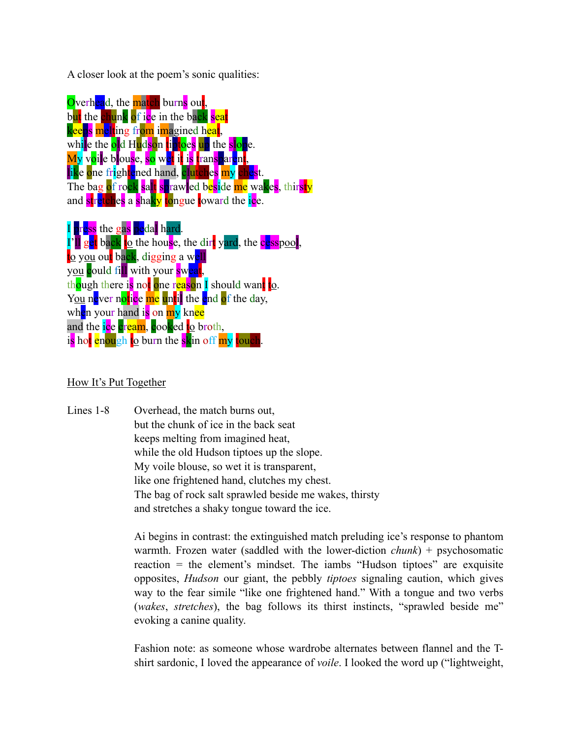A closer look at the poem's sonic qualities:

Overhead, the match burns out, but the chunk of ice in the back seat keeps melting from imagined heat, while the old Hudson tiptoes up the slope. My voile blouse, so wet it is transparent, like one frightened hand, clutches my chest. The bag of rock salt sprawled beside me wakes, thirsty and stretches a shaky tongue toward the ice. I press the gas pedal hard. I'll get back to the house, the dirt vard, the cesspool, to you out back, digging a well you could fill with your sweat. though there is not one reason I should want to. You never notice me until the end of the day, when your hand is on my knee

is hot enough to burn the skin off my touch.

and the ice cream, cooked to broth,

## How It's Put Together

Lines 1-8 Overhead, the match burns out, but the chunk of ice in the back seat keeps melting from imagined heat, while the old Hudson tiptoes up the slope. My voile blouse, so wet it is transparent, like one frightened hand, clutches my chest. The bag of rock salt sprawled beside me wakes, thirsty and stretches a shaky tongue toward the ice.

> Ai begins in contrast: the extinguished match preluding ice's response to phantom warmth. Frozen water (saddled with the lower-diction *chunk*) + psychosomatic reaction = the element's mindset. The iambs "Hudson tiptoes" are exquisite opposites, *Hudson* our giant, the pebbly *tiptoes* signaling caution, which gives way to the fear simile "like one frightened hand." With a tongue and two verbs (*wakes*, *stretches*), the bag follows its thirst instincts, "sprawled beside me" evoking a canine quality.

> Fashion note: as someone whose wardrobe alternates between flannel and the Tshirt sardonic, I loved the appearance of *voile*. I looked the word up ("lightweight,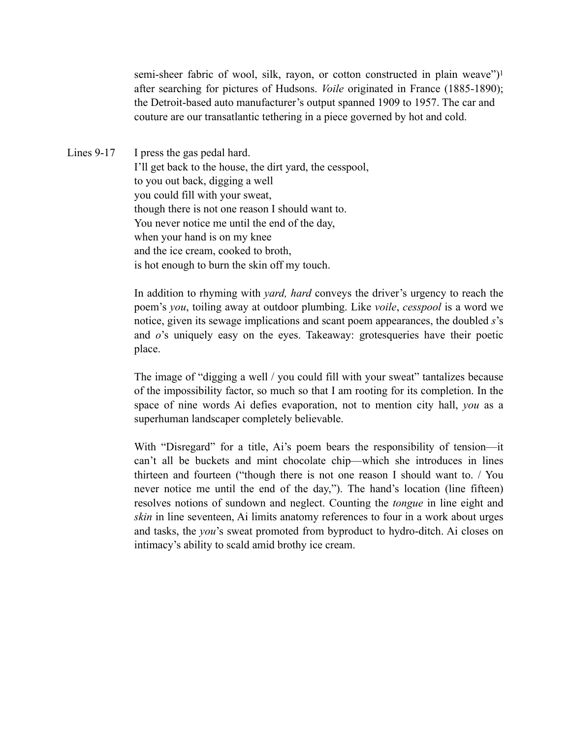<span id="page-2-0"></span>semi-sheer fabric of wool, silk, rayon, or cotton constructed in plain weave")[1](#page-3-0) after searching for pictures of Hudsons. *Voile* originated in France (1885-1890); the Detroit-based auto manufacturer's output spanned 1909 to 1957. The car and couture are our transatlantic tethering in a piece governed by hot and cold.

Lines 9-17 I press the gas pedal hard. I'll get back to the house, the dirt yard, the cesspool, to you out back, digging a well you could fill with your sweat, though there is not one reason I should want to. You never notice me until the end of the day, when your hand is on my knee and the ice cream, cooked to broth, is hot enough to burn the skin off my touch.

> In addition to rhyming with *yard, hard* conveys the driver's urgency to reach the poem's *you*, toiling away at outdoor plumbing. Like *voile*, *cesspool* is a word we notice, given its sewage implications and scant poem appearances, the doubled *s*'s and *o*'s uniquely easy on the eyes. Takeaway: grotesqueries have their poetic place.

> The image of "digging a well / you could fill with your sweat" tantalizes because of the impossibility factor, so much so that I am rooting for its completion. In the space of nine words Ai defies evaporation, not to mention city hall, *you* as a superhuman landscaper completely believable.

> With "Disregard" for a title, Ai's poem bears the responsibility of tension—it can't all be buckets and mint chocolate chip—which she introduces in lines thirteen and fourteen ("though there is not one reason I should want to. / You never notice me until the end of the day,"). The hand's location (line fifteen) resolves notions of sundown and neglect. Counting the *tongue* in line eight and *skin* in line seventeen, Ai limits anatomy references to four in a work about urges and tasks, the *you*'s sweat promoted from byproduct to hydro-ditch. Ai closes on intimacy's ability to scald amid brothy ice cream.